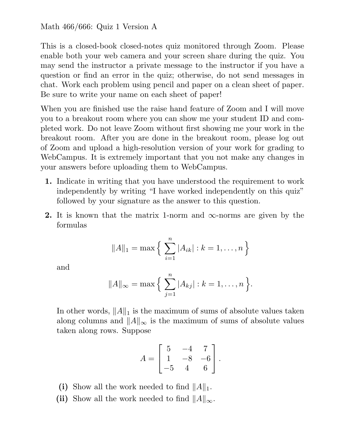Math 466/666: Quiz 1 Version A

This is a closed-book closed-notes quiz monitored through Zoom. Please enable both your web camera and your screen share during the quiz. You may send the instructor a private message to the instructor if you have a question or find an error in the quiz; otherwise, do not send messages in chat. Work each problem using pencil and paper on a clean sheet of paper. Be sure to write your name on each sheet of paper!

When you are finished use the raise hand feature of Zoom and I will move you to a breakout room where you can show me your student ID and completed work. Do not leave Zoom without first showing me your work in the breakout room. After you are done in the breakout room, please log out of Zoom and upload a high-resolution version of your work for grading to WebCampus. It is extremely important that you not make any changes in your answers before uploading them to WebCampus.

- 1. Indicate in writing that you have understood the requirement to work independently by writing "I have worked independently on this quiz" followed by your signature as the answer to this question.
- 2. It is known that the matrix 1-norm and  $\infty$ -norms are given by the formulas

$$
||A||_1 = \max \Big\{ \sum_{i=1}^n |A_{ik}| : k = 1, \dots, n \Big\}
$$

and

$$
||A||_{\infty} = \max \Big\{ \sum_{j=1}^{n} |A_{kj}| : k = 1, ..., n \Big\}.
$$

In other words,  $||A||_1$  is the maximum of sums of absolute values taken along columns and  $||A||_{\infty}$  is the maximum of sums of absolute values taken along rows. Suppose

$$
A = \begin{bmatrix} 5 & -4 & 7 \\ 1 & -8 & -6 \\ -5 & 4 & 6 \end{bmatrix}.
$$

(i) Show all the work needed to find  $||A||_1$ .

(ii) Show all the work needed to find  $||A||_{\infty}$ .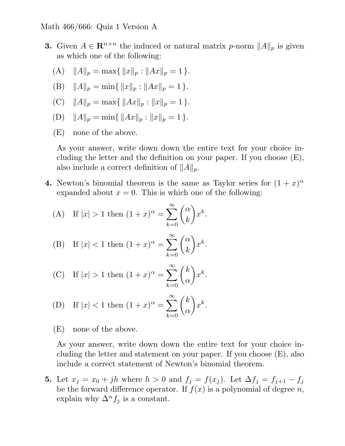- 3. Given  $A \in \mathbb{R}^{n \times n}$  the induced or natural matrix p-norm  $||A||_p$  is given as which one of the following:
	- (A)  $||A||_p = \max\{||x||_p : ||Ax||_p = 1\}.$
	- (B)  $||A||_p = \min\{||x||_p : ||Ax||_p = 1\}.$
	- (C)  $||A||_p = \max\{||Ax||_p : ||x||_p = 1\}.$
	- (D)  $||A||_p = \min\{||Ax||_p : ||x||_p = 1\}.$
	- (E) none of the above.

As your answer, write down down the entire text for your choice including the letter and the definition on your paper. If you choose (E), also include a correct definition of  $||A||_p$ .

4. Newton's binomial theorem is the same as Taylor series for  $(1+x)^{\alpha}$ expanded about  $x = 0$ . This is which one of the following:

(A) If 
$$
|x| > 1
$$
 then  $(1+x)^{\alpha} = \sum_{k=0}^{\infty} {\alpha \choose k} x^k$ .

(B) If 
$$
|x| < 1
$$
 then  $(1+x)^\alpha = \sum_{k=0}^\infty \binom{\alpha}{k} x^k$ .

(C) If 
$$
|x| > 1
$$
 then  $(1+x)^\alpha = \sum_{k=0}^\infty \binom{k}{\alpha} x^k$ .

(D) If 
$$
|x| < 1
$$
 then  $(1+x)^{\alpha} = \sum_{k=0}^{\infty} {k \choose \alpha} x^k$ .

(E) none of the above.

As your answer, write down down the entire text for your choice including the letter and statement on your paper. If you choose (E), also include a correct statement of Newton's binomial theorem.

5. Let  $x_j = x_0 + jh$  where  $h > 0$  and  $f_j = f(x_j)$ . Let  $\Delta f_j = f_{j+1} - f_j$ be the forward difference operator. If  $f(x)$  is a polynomial of degree n, explain why  $\Delta^n f_i$  is a constant.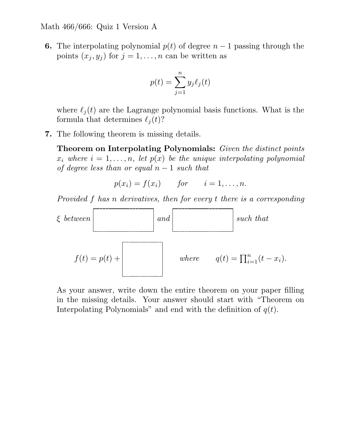Math 466/666: Quiz 1 Version A

**6.** The interpolating polynomial  $p(t)$  of degree  $n-1$  passing through the points  $(x_j, y_j)$  for  $j = 1, ..., n$  can be written as

$$
p(t) = \sum_{j=1}^{n} y_j \ell_j(t)
$$

where  $\ell_j(t)$  are the Lagrange polynomial basis functions. What is the formula that determines  $\ell_i(t)$ ?

7. The following theorem is missing details.

Theorem on Interpolating Polynomials: Given the distinct points  $x_i$  where  $i = 1, \ldots, n$ , let  $p(x)$  be the unique interpolating polynomial of degree less than or equal  $n-1$  such that

$$
p(x_i) = f(x_i) \qquad \text{for} \qquad i = 1, \dots, n.
$$

Provided f has n derivatives, then for every t there is a corresponding



As your answer, write down the entire theorem on your paper filling in the missing details. Your answer should start with "Theorem on Interpolating Polynomials" and end with the definition of  $q(t)$ .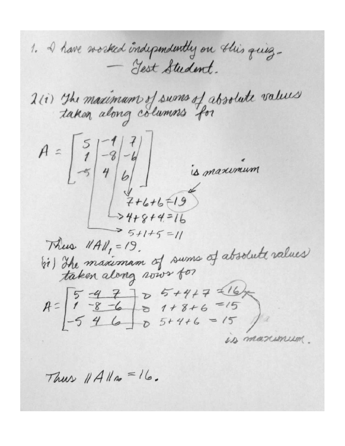1. I have worked independently on this quiz-- Gest Student. 2(i) The maximum of sums of absolute values  $A = \begin{bmatrix} 5 & -8 & -4 \\ 1 & 9 & 6 \end{bmatrix}$ is maximum  $7 + 6 + 6 + 19$  $-24+8+4=16$  $35+1+5=11$ Thus  $\|A\|_1 = 19$ . bi) The maximum of sums of absolute values  $A=\begin{bmatrix} 5 & -4 & 7 & 0 & 5+4+7 & 16 \ 1 & -8 & -6 & 0 & 1+8+6 & -15 \ -5 & 4 & 6 & 0 & 5+4+6 & -15 \end{bmatrix}$ US MAXUMUM

Thus  $||A||_p = |b|$ .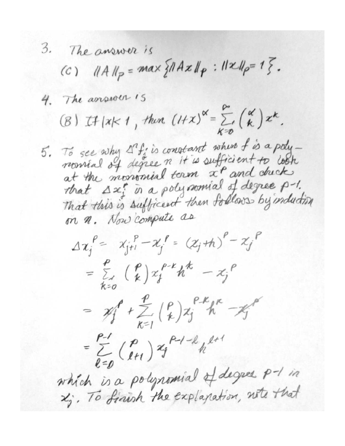3. The answer is (c)  $||A||_p = max \{ ||Ax||_p : ||x||_p = 1 \}.$ 4. The assurer is (B) If  $|x|<1$ , then  $(1+x)^{\alpha} = \sum_{k=0}^{\infty} { \alpha \choose k} x^k$ . 5. To see why Afin constant when f is a poly-<br>nomial of degree n it is sufficient to cook at the monomial term  $x^{\rho}$  and check that  $\Delta x_i^e$  in a polynomial of degree p-1. That this is sufficient then follows by induction on n. Now compute as  $\Delta x_{j}^{P} = x_{j+1}^{P} - x_{j}^{P} = (x_{j} + h)^{P} - x_{j}^{P}$  $=\sum_{k=n}^{r} \binom{p}{k} x_{j}^{p-k} h^{k} - x_{j}^{p}$ =  $xf' + \sum_{k=1}^{p} {p \choose k}x_{j}^{p-k}h^{k} - xf^{p}$  $=\sum_{l=0}^{p-1} {p \choose l+1} x_j^{p-l-l} h^{l+1}$ which is a polynomial of degree p-1 in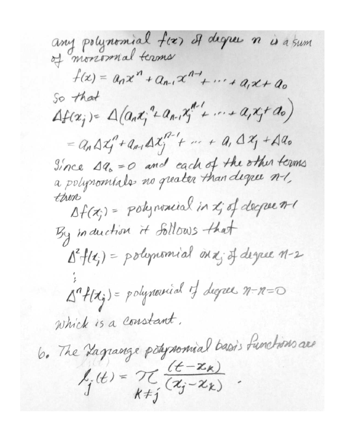any polynomial fix) Il degree n is a sum  $f(x) = a_n x^n + a_{n-1} x^{n-1} + \cdots + a_n x + a_0$ So that  $\Delta f(x_j) = \Delta (a_n x_j^2 + a_{n-1} x_j^2 + \cdots + a_j x_j + a_0)$ =  $a_n \Delta x_i'' + a_{n1} \Delta x_i'''' + \cdots + a_n \Delta x_j' + \Delta a_0$ Since 19, = 0 and each of the other terms<br>a polynomials no greater than degree n-1, then  $\Delta f(x_i) = \text{polynormal} \{ \text{in } x_i \text{ of degree } n-i \}$ By induction it Sollows that  $\Delta^2 f(t_j)$  = polynomial on x; of degree 1-2  $\Delta^n f(x_j)$  = polynomial of degree  $n - n = 0$ Which is a constant. 6. The Lagrange potynomial basis functions are  $l_j(t) = \frac{\gamma}{k+j} \frac{(t - x_k)}{(x_j - x_k)}$ .